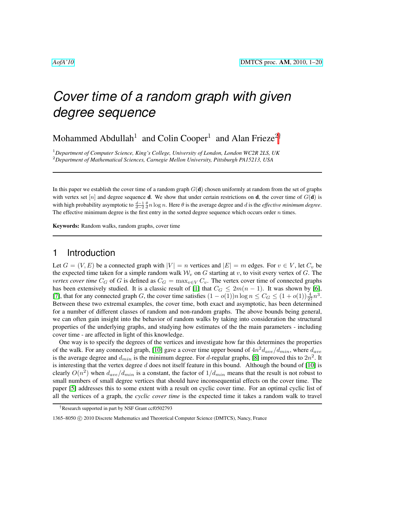Mohammed Abdullah<sup>1</sup> and Colin Cooper<sup>1</sup> and Alan Frieze<sup>2†</sup>

<sup>1</sup>*Department of Computer Science, King's College, University of London, London WC2R 2LS, UK* <sup>2</sup>*Department of Mathematical Sciences, Carnegie Mellon University, Pittsburgh PA15213, USA*

In this paper we establish the cover time of a random graph  $G(d)$  chosen uniformly at random from the set of graphs with vertex set [n] and degree sequence **d**. We show that under certain restrictions on **d**, the cover time of  $G(\mathbf{d})$  is with high probability asymptotic to  $\frac{d-1}{d-2} \frac{\theta}{d} n \log n$ . Here  $\theta$  is the average degree and d is the *effective minimum degree*. The effective minimum degree is the first entry in the sorted degree sequence which occurs order  $n$  times.

Keywords: Random walks, random graphs, cover time

# 1 Introduction

Let  $G = (V, E)$  be a connected graph with  $|V| = n$  vertices and  $|E| = m$  edges. For  $v \in V$ , let  $C_v$  be the expected time taken for a simple random walk  $W_v$  on G starting at v, to visit every vertex of G. The *vertex cover time*  $C_G$  of G is defined as  $C_G = \max_{v \in V} C_v$ . The vertex cover time of connected graphs has been extensively studied. It is a classic result of [\[1\]](#page-10-0) that  $C_G \leq 2m(n-1)$ . It was shown by [\[6\]](#page-11-0), [\[7\]](#page-11-1), that for any connected graph G, the cover time satisfies  $(1 - o(1))n \log n \le C_G \le (1 + o(1))\frac{4}{27}n^3$ . Between these two extremal examples, the cover time, both exact and asymptotic, has been determined for a number of different classes of random and non-random graphs. The above bounds being general, we can often gain insight into the behavior of random walks by taking into consideration the structural properties of the underlying graphs, and studying how estimates of the the main parameters - including cover time - are affected in light of this knowledge.

One way is to specify the degrees of the vertices and investigate how far this determines the properties of the walk. For any connected graph, [\[10\]](#page-11-2) gave a cover time upper bound of  $4n^2d_{ave}/d_{min}$ , where  $d_{ave}$ is the average degree and  $d_{min}$  is the minimum degree. For d-regular graphs, [\[8\]](#page-11-3) improved this to  $2n^2$ . It is interesting that the vertex degree  $d$  does not itself feature in this bound. Although the bound of  $[10]$  is clearly  $O(n^2)$  when  $d_{ave}/d_{min}$  is a constant, the factor of  $1/d_{min}$  means that the result is not robust to small numbers of small degree vertices that should have inconsequential effects on the cover time. The paper [\[5\]](#page-10-1) addresses this to some extent with a result on cyclic cover time. For an optimal cyclic list of all the vertices of a graph, the *cyclic cover time* is the expected time it takes a random walk to travel

<sup>†</sup>Research supported in part by NSF Grant ccf0502793

<sup>1365–8050 © 2010</sup> Discrete Mathematics and Theoretical Computer Science (DMTCS), Nancy, France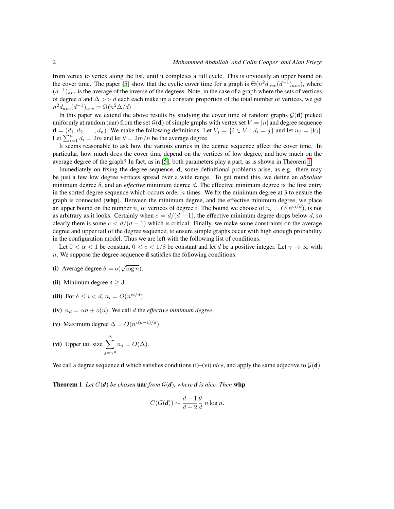from vertex to vertex along the list, until it completes a full cycle. This is obviously an upper bound on the cover time. The paper [\[5\]](#page-10-1) show that the cyclic cover time for a graph is  $\Theta(n^2 d_{ave}(d^{-1})_{ave})$ , where  $(d^{-1})_{ave}$  is the average of the inverse of the degrees. Note, in the case of a graph where the sets of vertices of degree d and  $\Delta >> d$  each each make up a constant proportion of the total number of vertices, we get  $n^2 d_{ave}(d^{-1})_{ave} = \Omega(n^2 \Delta/d)$ 

In this paper we extend the above results by studying the cover time of random graphs  $G(d)$  picked uniformly at random (uar) from the set  $\mathcal{G}(\mathbf{d})$  of simple graphs with vertex set  $V = [n]$  and degree sequence  $\mathbf{d} = (d_1, d_2, \dots, d_n)$ . We make the following definitions: Let  $V_i = \{i \in V : d_i = j\}$  and let  $n_i = |V_i|$ . Let  $\sum_{i=1}^{n} d_i = 2m$  and let  $\theta = 2m/n$  be the average degree.

It seems reasonable to ask how the various entries in the degree sequence affect the cover time. In particular, how much does the cover time depend on the vertices of low degree, and how much on the average degree of the graph? In fact, as in [\[5\]](#page-10-1), both parameters play a part, as is shown in Theorem [1.](#page-1-0)

Immediately on fixing the degree sequence,  $\mathbf{d}$ , some definitional problems arise, as e.g. there may be just a few low degree vertices spread over a wide range. To get round this, we define an *absolute* minimum degree  $\delta$ , and an *effective* minimum degree d. The effective minimum degree is the first entry in the sorted degree sequence which occurs order  $n$  times. We fix the minimum degree at 3 to ensure the graph is connected (whp). Between the minimum degree, and the effective minimum degree, we place an upper bound on the number  $n_i$  of vertices of degree i. The bound we choose of  $n_i = O(n^{ci/d})$ , is not as arbitrary as it looks. Certainly when  $c = d/(d-1)$ , the effective minimum degree drops below d, so clearly there is some  $c < d/(d-1)$  which is critical. Finally, we make some constraints on the average degree and upper tail of the degree sequence, to ensure simple graphs occur with high enough probability in the configuration model. Thus we are left with the following list of conditions.

Let  $0 < \alpha < 1$  be constant,  $0 < c < 1/8$  be constant and let d be a positive integer. Let  $\gamma \to \infty$  with  $n.$  We suppose the degree sequence **d** satisfies the following conditions:

- (i) Average degree  $\theta = o(\sqrt{\log n})$ .
- (ii) Minimum degree  $\delta \geq 3$ .
- (iii) For  $\delta \leq i < d$ ,  $n_i = O(n^{ci/d})$ .
- (iv)  $n_d = \alpha n + o(n)$ . We call d the *effective minimum degree*.
- (v) Maximum degree  $\Delta = O(n^{c(d-1)/d})$ .

**(vi)** Upper tail size 
$$
\sum_{j=\gamma\theta}^{\Delta} n_j = O(\Delta)
$$
.

<span id="page-1-0"></span>We call a degree sequence **d** which satisfies conditions (i)–(vi) *nice*, and apply the same adjective to  $\mathcal{G}(\mathbf{d})$ .

**Theorem 1** Let  $G(d)$  be chosen **uar** from  $G(d)$ , where **d** is nice. Then **whp** 

$$
C(G(\boldsymbol{d})) \sim \frac{d-1}{d-2} \frac{\theta}{d} n \log n.
$$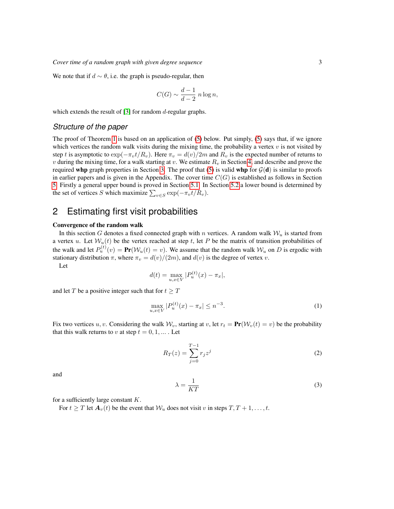We note that if  $d \sim \theta$ , i.e. the graph is pseudo-regular, then

$$
C(G) \sim \frac{d-1}{d-2} n \log n,
$$

which extends the result of [\[3\]](#page-10-2) for random  $d$ -regular graphs.

### *Structure of the paper*

The proof of Theorem [1](#page-1-0) is based on an application of [\(5\)](#page-3-0) below. Put simply, [\(5\)](#page-3-0) says that, if we ignore which vertices the random walk visits during the mixing time, the probability a vertex  $v$  is not visited by step t is asymptotic to  $\exp(-\pi_v t/R_v)$ . Here  $\pi_v = d(v)/2m$  and  $R_v$  is the expected number of returns to v during the mixing time, for a walk starting at v. We estimate  $R<sub>v</sub>$  in Section [4,](#page-7-0) and describe and prove the required whp graph properties in Section [3.](#page-3-1) The proof that [\(5\)](#page-3-0) is valid whp for  $\mathcal{G}(\mathbf{d})$  is similar to proofs in earlier papers and is given in the Appendix. The cover time  $C(G)$  is established as follows in Section [5.](#page-8-0) Firstly a general upper bound is proved in Section [5.1.](#page-8-1) In Section [5.2](#page-9-0) a lower bound is determined by the set of vertices S which maximize  $\sum_{v \in S} \exp(-\pi_v t/R_v)$ .

# 2 Estimating first visit probabilities

#### Convergence of the random walk

In this section G denotes a fixed connected graph with n vertices. A random walk  $W_u$  is started from a vertex u. Let  $W_u(t)$  be the vertex reached at step t, let P be the matrix of transition probabilities of the walk and let  $P_u^{(t)}(v) = \text{Pr}(W_u(t) = v)$ . We assume that the random walk  $W_u$  on D is ergodic with stationary distribution  $\pi$ , where  $\pi_v = d(v)/(2m)$ , and  $d(v)$  is the degree of vertex v.

Let

<span id="page-2-1"></span>
$$
d(t) = \max_{u,x \in V} |P_u^{(t)}(x) - \pi_x|,
$$

and let T be a positive integer such that for  $t \geq T$ 

$$
\max_{u,x \in V} |P_u^{(t)}(x) - \pi_x| \le n^{-3}.
$$
 (1)

Fix two vertices u, v. Considering the walk  $W_v$ , starting at v, let  $r_t = \text{Pr}(W_v(t) = v)$  be the probability that this walk returns to v at step  $t = 0, 1, \dots$ . Let

<span id="page-2-0"></span>
$$
R_T(z) = \sum_{j=0}^{T-1} r_j z^j
$$
 (2)

and

$$
\lambda = \frac{1}{KT} \tag{3}
$$

for a sufficiently large constant  $K$ .

For  $t \geq T$  let  $A_v(t)$  be the event that  $W_u$  does not visit v in steps  $T, T + 1, \ldots, t$ .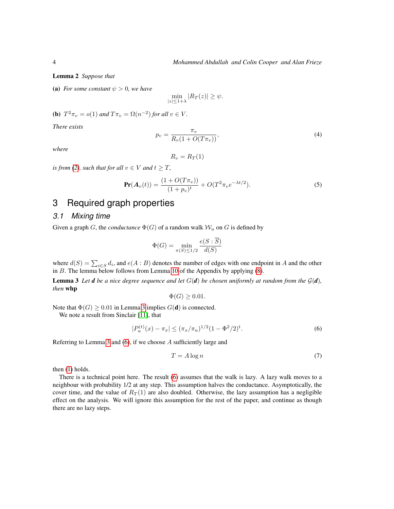<span id="page-3-4"></span>Lemma 2 *Suppose that*

(a) *For some constant*  $\psi > 0$ *, we have* 

$$
\min_{|z| \le 1+\lambda} |R_T(z)| \ge \psi.
$$

**(b)**  $T^2 \pi_v = o(1)$  and  $T \pi_v = \Omega(n^{-2})$  for all  $v \in V$ .

<span id="page-3-5"></span>*There exists*

$$
p_v = \frac{\pi_v}{R_v(1 + O(T\pi_v))},\tag{4}
$$

*where*

<span id="page-3-0"></span>
$$
R_v = R_T(1)
$$

*is from [\(2\)](#page-2-0), such that for all*  $v \in V$  *and*  $t \geq T$ *,* 

$$
\mathbf{Pr}(\mathbf{A}_v(t)) = \frac{(1 + O(T\pi_v))}{(1 + p_v)^t} + O(T^2 \pi_v e^{-\lambda t/2}).
$$
\n(5)

# <span id="page-3-1"></span>3 Required graph properties

#### *3.1 Mixing time*

Given a graph G, the *conductance*  $\Phi(G)$  of a random walk  $W_u$  on G is defined by

$$
\Phi(G) = \min_{\pi(S) \le 1/2} \frac{e(S : \overline{S})}{d(S)}
$$

where  $d(S) = \sum_{i \in S} d_i$ , and  $e(A : B)$  denotes the number of edges with one endpoint in A and the other in  $B$ . The lemma below follows from Lemma [10](#page-12-0) of the Appendix by applying  $(8)$ .

**Lemma 3** Let **d** be a nice degree sequence and let  $G(d)$  be chosen uniformly at random from the  $G(d)$ , *then* whp

<span id="page-3-3"></span><span id="page-3-2"></span>
$$
\Phi(G) \geq 0.01.
$$

Note that  $\Phi(G) \ge 0.01$  in Lemma [3](#page-3-2) implies  $G(\mathbf{d})$  is connected.

We note a result from Sinclair [\[11\]](#page-11-4), that

$$
|P_u^{(t)}(x) - \pi_x| \le (\pi_x/\pi_u)^{1/2} (1 - \Phi^2/2)^t.
$$
 (6)

Referring to Lemma [3](#page-3-2) and [\(6\)](#page-3-3), if we choose A sufficiently large and

$$
T = A \log n \tag{7}
$$

then [\(1\)](#page-2-1) holds.

There is a technical point here. The result [\(6\)](#page-3-3) assumes that the walk is lazy. A lazy walk moves to a neighbour with probability 1/2 at any step. This assumption halves the conductance. Asymptotically, the cover time, and the value of  $R_T(1)$  are also doubled. Otherwise, the lazy assumption has a negligible effect on the analysis. We will ignore this assumption for the rest of the paper, and continue as though there are no lazy steps.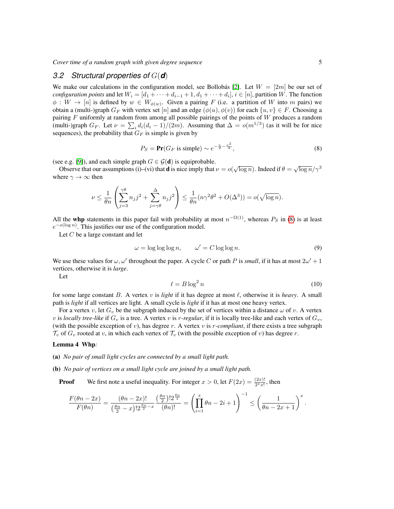### *3.2 Structural properties of* G(*d*)

We make our calculations in the configuration model, see Bollobás [\[2\]](#page-10-3). Let  $W = [2m]$  be our set of *configuration points* and let  $W_i = [d_1 + \cdots + d_{i-1} + 1, d_1 + \cdots + d_i], i \in [n]$ , partition W. The function  $\phi: W \to [n]$  is defined by  $w \in W_{\phi(w)}$ . Given a pairing F (i.e. a partition of W into m pairs) we obtain a (multi-)graph  $G_F$  with vertex set [n] and an edge  $(\phi(u), \phi(v))$  for each  $\{u, v\} \in F$ . Choosing a pairing  $F$  uniformly at random from among all possible pairings of the points of  $W$  produces a random (multi-)graph  $G_F$ . Let  $\nu = \sum_i d_i (d_i - 1)/(2m)$ . Assuming that  $\Delta = o(m^{1/3})$  (as it will be for nice sequences), the probability that  $G_F$  is simple is given by

<span id="page-4-0"></span>
$$
P_S = \mathbf{Pr}(G_F \text{ is simple}) \sim e^{-\frac{\nu}{2} - \frac{\nu^2}{4}},\tag{8}
$$

(see e.g. [\[9\]](#page-11-5)), and each simple graph  $G \in \mathcal{G}(\mathbf{d})$  is equiprobable.

be e.g. [9]), and each simple graph  $G \in \mathcal{G}(\mathbf{u})$  is equiprobable.<br>Observe that our assumptions (i)–(vi) that **d** is nice imply that  $\nu = o(\sqrt{\log n})$ . Indeed if  $\theta = \sqrt{\log n}/\gamma^3$ where  $\gamma \to \infty$  then

$$
\nu \le \frac{1}{\theta n} \left( \sum_{j=3}^{\gamma \theta} n_j j^2 + \sum_{j=\gamma \theta}^{\Delta} n_j j^2 \right) \le \frac{1}{\theta n} (n \gamma^2 \theta^2 + O(\Delta^3)) = o(\sqrt{\log n}).
$$

All the whp statements in this paper fail with probability at most  $n^{-\Omega(1)}$ , whereas  $P_S$  in [\(8\)](#page-4-0) is at least  $e^{-o(\log n)}$ . This justifies our use of the configuration model.

Let C be a large constant and let

$$
\omega = \log \log \log n, \qquad \omega' = C \log \log n. \tag{9}
$$

We use these values for  $\omega, \omega'$  throughout the paper. A cycle C or path P is *small*, if it has at most  $2\omega' + 1$ vertices, otherwise it is *large*.

Let

$$
\ell = B \log^2 n \tag{10}
$$

for some large constant B. A vertex v is *light* if it has degree at most  $\ell$ , otherwise it is *heavy*. A small path is *light* if all vertices are light. A small cycle is *light* if it has at most one heavy vertex.

For a vertex v, let  $G_v$  be the subgraph induced by the set of vertices within a distance  $\omega$  of v. A vertex v is *locally tree-like* if  $G_v$  is a tree. A vertex v is r-regular, if it is locally tree-like and each vertex of  $G_v$ , (with the possible exception of  $v$ ), has degree  $r$ . A vertex  $v$  is  $r$ -compliant, if there exists a tree subgraph  $\mathcal{T}_v$  of  $G_v$  rooted at v, in which each vertex of  $\mathcal{T}_v$  (with the possible exception of v) has degree r.

#### <span id="page-4-1"></span>Lemma 4 Whp*:*

- (a) *No pair of small light cycles are connected by a small light path.*
- (b) *No pair of vertices on a small light cycle are joined by a small light path.*
	- **Proof** We first note a useful inequality. For integer  $x > 0$ , let  $F(2x) = \frac{(2x)!}{2^x x!}$ , then

$$
\frac{F(\theta n-2x)}{F(\theta n)}=\frac{(\theta n-2x)!}{(\frac{\theta n}{2}-x)!2^{\frac{\theta n}{2}-x}}\frac{(\frac{\theta n}{2})!2^{\frac{\theta n}{2}}}{(\theta n)!}=\left(\prod_{i=1}^x\theta n-2i+1\right)^{-1}\leq\left(\frac{1}{\theta n-2x+1}\right)^x.
$$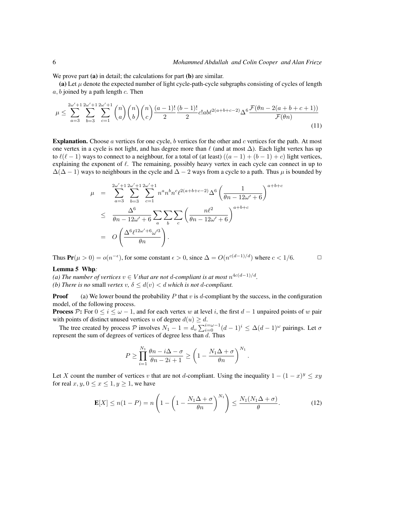We prove part (a) in detail; the calculations for part (b) are similar.

(a) Let  $\mu$  denote the expected number of light cycle-path-cycle subgraphs consisting of cycles of length  $a, b$  joined by a path length  $c$ . Then

$$
\mu \leq \sum_{a=3}^{2\omega'+1} \sum_{b=3}^{2\omega'+1} \sum_{c=1}^{2\omega'+1} \binom{n}{a} \binom{n}{b} \binom{n}{c} \frac{(a-1)!}{2} \frac{(b-1)!}{2} c! ab \ell^{2(a+b+c-2)} \Delta^6 \frac{\mathcal{F}(\theta n - 2(a+b+c+1))}{\mathcal{F}(\theta n)} \tag{11}
$$

**Explanation.** Choose  $a$  vertices for one cycle,  $b$  vertices for the other and  $c$  vertices for the path. At most one vertex in a cycle is not light, and has degree more than  $\ell$  (and at most  $\Delta$ ). Each light vertex has up to  $\ell(\ell - 1)$  ways to connect to a neighbour, for a total of (at least)  $((a - 1) + (b - 1) + c)$  light vertices, explaining the exponent of  $\ell$ . The remaining, possibly heavy vertex in each cycle can connect in up to  $\Delta(\Delta - 1)$  ways to neighbours in the cycle and  $\Delta - 2$  ways from a cycle to a path. Thus  $\mu$  is bounded by

$$
\mu = \sum_{a=3}^{2\omega' + 1} \sum_{b=3}^{2\omega' + 1} \sum_{c=1}^{2\omega' + 1} n^a n^b n^c \ell^{2(a+b+c-2)} \Delta^6 \left(\frac{1}{\theta n - 12\omega' + 6}\right)^{a+b+c}
$$
  

$$
\leq \frac{\Delta^6}{\theta n - 12\omega' + 6} \sum_a \sum_b \sum_c \left(\frac{n\ell^2}{\theta n - 12\omega' + 6}\right)^{a+b+c}
$$
  

$$
= O\left(\frac{\Delta^6 \ell^{12\omega' + 6} \omega'^3}{\theta n}\right).
$$

Thus  $Pr(\mu > 0) = o(n^{-\epsilon})$ , for some constant  $\epsilon > 0$ , since  $\Delta = O(n^{c(d-1)/d})$  where  $c < 1/6$ .

#### <span id="page-5-0"></span>Lemma 5 Whp*:*

*(a) The number of vertices*  $v ∈ V$ *that are not d-compliant is at most*  $n^{4c(d-1)/d}$ . *(b) There is no small vertex*  $v, \delta \leq d(v) < d$  *which is not d-compliant.* 

**Proof** (a) We lower bound the probability P that v is d-compliant by the success, in the configuration model, of the following process.

**Process** P: For  $0 \le i \le \omega - 1$ , and for each vertex w at level i, the first  $d-1$  unpaired points of w pair with points of distinct unused vertices u of degree  $d(u) \geq d$ .

The tree created by process P involves  $N_1 - 1 = d_v \sum_{i=0}^{i=\omega-1} (d-1)^i \leq \Delta (d-1)^\omega$  pairings. Let  $\sigma$ represent the sum of degrees of vertices of degree less than  $d$ . Thus

$$
P \geq \prod_{i=1}^{N_1} \frac{\theta n - i\Delta - \sigma}{\theta n - 2i + 1} \geq \left(1 - \frac{N_1 \Delta + \sigma}{\theta n}\right)^{N_1}.
$$

Let X count the number of vertices v that are not d-compliant. Using the inequality  $1 - (1 - x)^y \leq xy$ for real  $x, y, 0 \le x \le 1, y \ge 1$ , we have

$$
\mathbf{E}[X] \le n(1-P) = n\left(1 - \left(1 - \frac{N_1\Delta + \sigma}{\theta n}\right)^{N_1}\right) \le \frac{N_1(N_1\Delta + \sigma)}{\theta}.\tag{12}
$$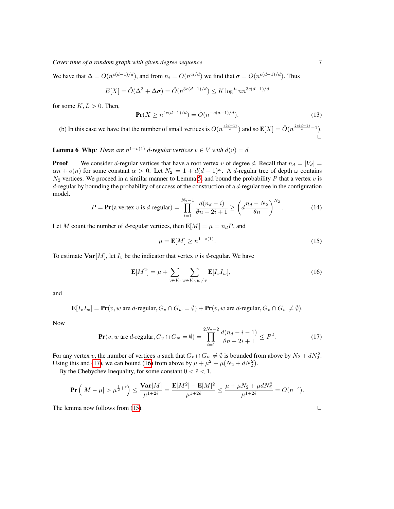We have that  $\Delta = O(n^{c(d-1)/d})$ , and from  $n_i = O(n^{ci/d})$  we find that  $\sigma = O(n^{c(d-1)/d})$ . Thus

$$
E[X] = \tilde{O}(\Delta^3 + \Delta \sigma) = \tilde{O}(n^{3c(d-1)/d}) \le K \log^L n n^{3c(d-1)/d}
$$

for some  $K, L > 0$ . Then,

$$
\Pr(X \ge n^{4c(d-1)/d}) = \tilde{O}(n^{-c(d-1)/d}).
$$
\n(13)

(b) In this case we have that the number of small vertices is  $O(n^{\frac{c(d-1)}{d}})$  and so  $\mathbf{E}[X] = \tilde{O}(n^{\frac{2c(d-1)}{d}-1})$ .  $\Box$ 

<span id="page-6-3"></span>**Lemma 6** Whp: There are  $n^{1-o(1)}$  d-regular vertices  $v \in V$  with  $d(v) = d$ .

**Proof** We consider d-regular vertices that have a root vertex v of degree d. Recall that  $n_d = |V_d|$  $\alpha n + o(n)$  for some constant  $\alpha > 0$ . Let  $N_2 = 1 + d(d-1)^{\omega}$ . A d-regular tree of depth  $\omega$  contains  $N_2$  vertices. We proceed in a similar manner to Lemma [5,](#page-5-0) and bound the probability P that a vertex  $v$  is  $d$ -regular by bounding the probability of success of the construction of a  $d$ -regular tree in the configuration model.

$$
P = \mathbf{Pr}(\text{a vertex } v \text{ is } d\text{-regular}) = \prod_{i=1}^{N_2 - 1} \frac{d(n_d - i)}{\theta n - 2i + 1} \ge \left(d \frac{n_d - N_2}{\theta n}\right)^{N_2}.
$$
 (14)

Let M count the number of d-regular vertices, then  $\mathbf{E}[M] = \mu = n_d P$ , and

<span id="page-6-2"></span>
$$
\mu = \mathbf{E}[M] \ge n^{1 - o(1)}.\tag{15}
$$

To estimate  $\text{Var}[M]$ , let  $I_v$  be the indicator that vertex v is d-regular. We have

<span id="page-6-1"></span>
$$
\mathbf{E}[M^2] = \mu + \sum_{v \in V_d} \sum_{w \in V_d, w \neq v} \mathbf{E}[I_v I_w],\tag{16}
$$

and

<span id="page-6-0"></span>
$$
\mathbf{E}[I_v I_w] = \mathbf{Pr}(v, w \text{ are } d\text{-regular}, G_v \cap G_w = \emptyset) + \mathbf{Pr}(v, w \text{ are } d\text{-regular}, G_v \cap G_w \neq \emptyset).
$$

Now

$$
\Pr(v, w \text{ are } d\text{-regular}, G_v \cap G_w = \emptyset) = \prod_{i=1}^{2N_2 - 2} \frac{d(n_d - i - 1)}{\theta n - 2i + 1} \le P^2. \tag{17}
$$

For any vertex v, the number of vertices u such that  $G_v \cap G_w \neq \emptyset$  is bounded from above by  $N_2 + dN_2^2$ . Using this and [\(17\)](#page-6-0), we can bound [\(16\)](#page-6-1) from above by  $\mu + \mu^2 + \mu(N_2 + dN_2^2)$ .

By the Chebychev Inequality, for some constant  $0 < \tilde{\epsilon} < 1$ ,

$$
\mathbf{Pr}\left(|M-\mu|>\mu^{\frac{1}{2}+\tilde{\epsilon}}\right)\leq \frac{\mathbf{Var}[M]}{\mu^{1+2\tilde{\epsilon}}}=\frac{\mathbf{E}[M^2]-\mathbf{E}[M]^2}{\mu^{1+2\tilde{\epsilon}}}\leq \frac{\mu+\mu N_2+\mu d N_2^2}{\mu^{1+2\tilde{\epsilon}}} = O(n^{-\epsilon}).
$$

The lemma now follows from [\(15\)](#page-6-2).  $\Box$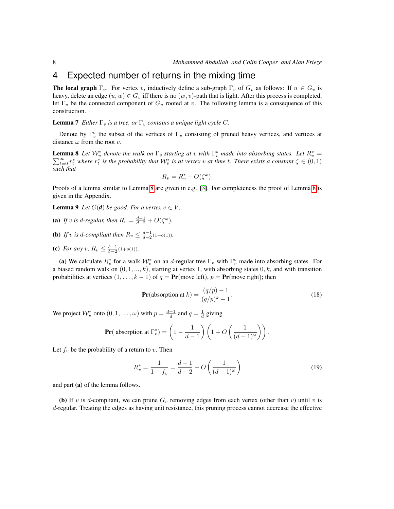# <span id="page-7-0"></span>4 Expected number of returns in the mixing time

**The local graph**  $\Gamma_v$ . For vertex v, inductively define a sub-graph  $\Gamma_v$  of  $G_v$  as follows: If  $u \in G_v$  is heavy, delete an edge  $(u, w) \in G_v$  iff there is no  $(w, v)$ -path that is light. After this process is completed, let  $\Gamma_v$  be the connected component of  $G_v$  rooted at v. The following lemma is a consequence of this construction.

**Lemma 7** *Either*  $\Gamma_v$  *is a tree, or*  $\Gamma_v$  *contains a unique light cycle C*.

Denote by  $\Gamma_v^{\circ}$  the subset of the vertices of  $\Gamma_v$  consisting of pruned heavy vertices, and vertices at distance  $\omega$  from the root v.

<span id="page-7-1"></span>**Lemma 8** Let  $W_v^*$  denote the walk on  $\Gamma_v$  starting at v with  $\Gamma_v^{\circ}$  made into absorbing states. Let  $R_v^*$ **Lemma 8** Let  $\mathcal{W}_v^*$  denote the walk on  $\Gamma_v$  starting at  $v$  with  $\Gamma_v^{\circ}$  made into absorbing states. Let  $R_v^* = \sum_{t=0}^{\infty} r_t^*$  where  $r_t^*$  is the probability that  $\mathcal{W}_v^*$  is at vertex  $v$  at time  $t$ . Ther *such that*

$$
R_v = R_v^* + O(\zeta^\omega).
$$

Proofs of a lemma similar to Lemma [8](#page-7-1) are given in e.g. [\[3\]](#page-10-2). For completeness the proof of Lemma [8](#page-7-1) is given in the Appendix.

<span id="page-7-2"></span>**Lemma 9** *Let*  $G(d)$  *be good. For a vertex*  $v \in V$ *,* 

- (a) If *v* is d-regular, then  $R_v = \frac{d-1}{d-2} + O(\zeta^{\omega})$ .
- **(b)** If v is d-compliant then  $R_v \leq \frac{d-1}{d-2}(1+o(1))$ .
- (c) *For any v*,  $R_v \leq \frac{\delta 1}{\delta 2} (1 + o(1)).$

(a) We calculate  $R_v^*$  for a walk  $\mathcal{W}_v^*$  on an d-regular tree  $\Gamma_v$  with  $\Gamma_v^{\circ}$  made into absorbing states. For a biased random walk on  $(0, 1, ..., k)$ , starting at vertex 1, with absorbing states  $0, k$ , and with transition probabilities at vertices  $(1, \ldots, k-1)$  of  $q = Pr$ (move left),  $p = Pr$ (move right); then

$$
\mathbf{Pr}(\text{absorption at } k) = \frac{(q/p) - 1}{(q/p)^k - 1}.
$$
\n(18)

We project  $\mathcal{W}_v^*$  onto  $(0, 1, \dots, \omega)$  with  $p = \frac{d-1}{d}$  and  $q = \frac{1}{d}$  giving

$$
\Pr(\text{ absorption at } \Gamma_v^{\circ}) = \left(1 - \frac{1}{d-1}\right) \left(1 + O\left(\frac{1}{(d-1)^{\omega}}\right)\right).
$$

Let  $f_v$  be the probability of a return to v. Then

$$
R_v^* = \frac{1}{1 - f_v} = \frac{d - 1}{d - 2} + O\left(\frac{1}{(d - 1)^\omega}\right)
$$
(19)

and part (a) of the lemma follows.

(b) If v is d-compliant, we can prune  $G_v$  removing edges from each vertex (other than v) until v is d-regular. Treating the edges as having unit resistance, this pruning process cannot decrease the effective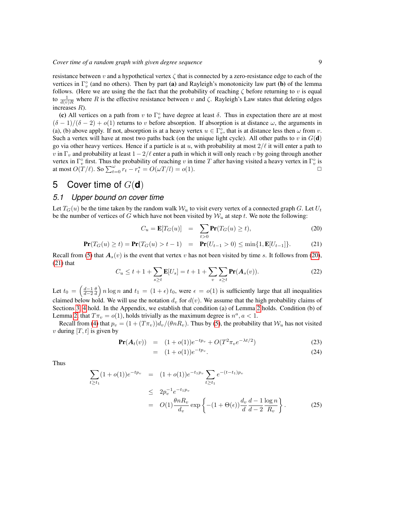resistance between v and a hypothetical vertex  $\zeta$  that is connected by a zero-resistance edge to each of the vertices in  $\Gamma_v^{\circ}$  (and no others). Then by part (a) and Rayleigh's monotonicity law part (b) of the lemma follows. (Here we are using the the fact that the probability of reaching  $\zeta$  before returning to v is equal to  $\frac{1}{d(v)R}$  where R is the effective resistance between v and  $\zeta$ . Rayleigh's Law states that deleting edges increases R).

(c) All vertices on a path from v to  $\Gamma_v^{\circ}$  have degree at least  $\delta$ . Thus in expectation there are at most  $(\delta - 1)/(\delta - 2) + o(1)$  returns to v before absorption. If absorption is at distance  $\omega$ , the arguments in (a), (b) above apply. If not, absorption is at a heavy vertex  $u \in \Gamma_v^{\circ}$ , that is at distance less then  $\omega$  from  $v$ . Such a vertex will have at most two paths back (on the unique light cycle). All other paths to v in  $G(\mathbf{d})$ go via other heavy vertices. Hence if a particle is at u, with probability at most  $2/\ell$  it will enter a path to v in  $\Gamma_v$  and probability at least  $1-2/\ell$  enter a path in which it will only reach v by going through another vertex in  $\Gamma_v^{\circ}$  first. Thus the probability of reaching v in time T after having visited a heavy vertex in  $\Gamma_v^{\circ}$  is at most  $O(T/\ell)$ . So  $\sum_{t=0}^{\omega} r_t - r_t^* = O(\omega T/l) = o(1)$ .

# <span id="page-8-0"></span>5 Cover time of G(**d**)

### <span id="page-8-1"></span>*5.1 Upper bound on cover time*

Let  $T_G(u)$  be the time taken by the random walk  $W_u$  to visit every vertex of a connected graph G. Let  $U_t$ be the number of vertices of G which have not been visited by  $W_u$  at step t. We note the following:

<span id="page-8-2"></span>
$$
C_u = \mathbf{E}[T_G(u)] = \sum_{t>0} \mathbf{Pr}(T_G(u) \ge t), \tag{20}
$$

<span id="page-8-4"></span>
$$
\mathbf{Pr}(T_G(u) \ge t) = \mathbf{Pr}(T_G(u) > t - 1) = \mathbf{Pr}(U_{t-1} > 0) \le \min\{1, \mathbf{E}[U_{t-1}]\}.
$$
 (21)

Recall from [\(5\)](#page-3-0) that  $A_s(v)$  is the event that vertex v has not been visited by time s. It follows from [\(20\)](#page-8-2),  $(21)$  that

$$
C_u \le t + 1 + \sum_{s \ge t} \mathbf{E}[U_s] = t + 1 + \sum_{v} \sum_{s \ge t} \mathbf{Pr}(A_s(v)).
$$
 (22)

Let  $t_0 = \left(\frac{d-1}{d-2}\frac{\theta}{d}\right) n \log n$  and  $t_1 = (1+\epsilon)t_0$ , were  $\epsilon = o(1)$  is sufficiently large that all inequalities claimed below hold. We will use the notation  $d_v$  for  $d(v)$ . We assume that the high probability claims of Sections [3,](#page-3-1) [4](#page-7-0) hold. In the Appendix, we establish that condition (a) of Lemma [2](#page-3-4) holds. Condition (b) of Lemma [2,](#page-3-4) that  $T\pi_v = o(1)$ , holds trivially as the maximum degree is  $n^a$ ,  $a < 1$ .

Recall from [\(4\)](#page-3-5) that  $p_v = (1 + (T\pi_v))d_v/(\theta nR_v)$ . Thus by [\(5\)](#page-3-0), the probability that  $\mathcal{W}_u$  has not visited v during  $[T, t]$  is given by

$$
\mathbf{Pr}(A_t(v)) = (1+o(1))e^{-tp_v} + O(T^2 \pi_v e^{-\lambda t/2})
$$
\n(23)

$$
= (1+o(1))e^{-tp_v}.
$$
 (24)

Thus

<span id="page-8-3"></span>
$$
\sum_{t \ge t_1} (1 + o(1))e^{-tp_v} = (1 + o(1))e^{-t_1p_v} \sum_{t \ge t_1} e^{-(t - t_1)p_v}
$$
\n
$$
\le 2p_v^{-1}e^{-t_1p_v}
$$
\n
$$
= O(1)\frac{\theta nR_v}{d_v} \exp\left\{-(1 + \Theta(\epsilon))\frac{d_v}{d}\frac{d - 1}{d - 2}\frac{\log n}{R_v}\right\}.
$$
\n(25)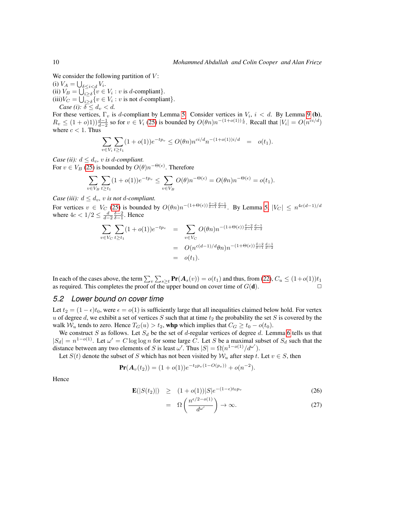We consider the following partition of  $V$ :

(i)  $V_A = \bigcup_{\delta \leq i < d} V_i$ . (ii)  $V_B = \bigcup_{i \geq \delta} \{ v \in V_i : v \text{ is } d\text{-compliant} \}.$ (iii) $V_C = \bigcup_{i \geq \delta} \{ v \in V_i : v \text{ is not } d\text{-compliant} \}.$ *Case (i):*  $\delta \leq d_v < d$ .

For these vertices,  $\Gamma_v$  is d-compliant by Lemma [5.](#page-5-0) Consider vertices in  $V_i$ ,  $i < d$ . By Lemma [9](#page-7-2) (b),  $R_v \leq (1+o)1)\frac{d-1}{d-2}$  so for  $v \in V_i$  [\(25\)](#page-8-3) is bounded by  $O(\theta n)n^{-(1+o(1))\frac{i}{d}}$ . Recall that  $|V_i| = O(n^{ci/d})$ where  $c < 1$ . Thus

$$
\sum_{v \in V_i} \sum_{t \ge t_1} (1 + o(1))e^{-tp_v} \le O(\theta n) n^{ci/d} n^{-(1 + o(1))i/d} = o(t_1).
$$

*Case (ii):*  $d \leq d_v$ , *v is d-compliant.* For  $v \in V_B$  [\(25\)](#page-8-3) is bounded by  $O(\theta)n^{-\Theta(\epsilon)}$ . Therefore

$$
\sum_{v \in V_B} \sum_{t \ge t_1} (1 + o(1)) e^{-tp_v} \le \sum_{v \in V_B} O(\theta) n^{-\Theta(\epsilon)} = O(\theta n) n^{-\Theta(\epsilon)} = o(t_1).
$$

*Case (iii):*  $d \leq d_v$ , *v is not d-compliant.* 

For vertices  $v \in V_C$  [\(25\)](#page-8-3) is bounded by  $O(\theta n) n^{-(1+\Theta(\epsilon))\frac{\delta-2}{\delta-1}\frac{d-1}{d-2}}$ . By Lemma [5,](#page-5-0)  $|V_C| \leq n^{4c(d-1)/d}$ where  $4c < 1/2 \leq \frac{d}{d-2} \frac{\delta-2}{\delta-1}$ . Hence

$$
\sum_{v \in V_C} \sum_{t \ge t_1} (1 + o(1)) e^{-tp_v} = \sum_{v \in V_C} O(\theta n) n^{-(1 + \Theta(\epsilon)) \frac{\delta - 2}{\delta - 1} \frac{d - 1}{d - 2}}
$$
  
= 
$$
O(n^{c(d-1)/d} \theta n) n^{-(1 + \Theta(\epsilon)) \frac{\delta - 2}{\delta - 1} \frac{d - 1}{d - 2}}
$$
  
= 
$$
o(t_1).
$$

In each of the cases above, the term  $\sum_v\sum_{s\geq t}\Pr(A_s(v))=o(t_1)$  and thus, from [\(22\)](#page-8-4),  $C_u\leq (1+o(1))t_1$ as required. This completes the proof of the upper bound on cover time of  $G(\mathbf{d})$ .

#### <span id="page-9-0"></span>*5.2 Lower bound on cover time*

Let  $t_2 = (1 - \epsilon)t_0$ , were  $\epsilon = o(1)$  is sufficiently large that all inequalities claimed below hold. For vertex u of degree d, we exhibit a set of vertices  $S$  such that at time  $t_2$  the probability the set  $S$  is covered by the walk  $W_u$  tends to zero. Hence  $T_G(u) > t_2$ , whp which implies that  $C_G \ge t_0 - o(t_0)$ .

We construct S as follows. Let  $S_d$  be the set of d-regular vertices of degree d. Lemma [6](#page-6-3) tells us that  $|S_d| = n^{1-o(1)}$ . Let  $\omega' = C \log \log n$  for some large C. Let S be a maximal subset of  $S_d$  such that the distance between any two elements of S is least  $\omega'$ . Thus  $|S| = \Omega(n^{1-o(1)}/d^{\omega'})$ .

Let  $S(t)$  denote the subset of S which has not been visited by  $\mathcal{W}_u$  after step t. Let  $v \in S$ , then

$$
\mathbf{Pr}(\mathbf{A}_v(t_2)) = (1 + o(1))e^{-t_2 p_v(1 - O(p_v))} + o(n^{-2}).
$$

Hence

<span id="page-9-1"></span>
$$
\mathbf{E}(|S(t_2)|) \geq (1+o(1))|S|e^{-(1-\epsilon)t_0 p_v} \tag{26}
$$

$$
= \Omega\left(\frac{n^{\epsilon/2 - o(1)}}{d^{\omega'}}\right) \to \infty. \tag{27}
$$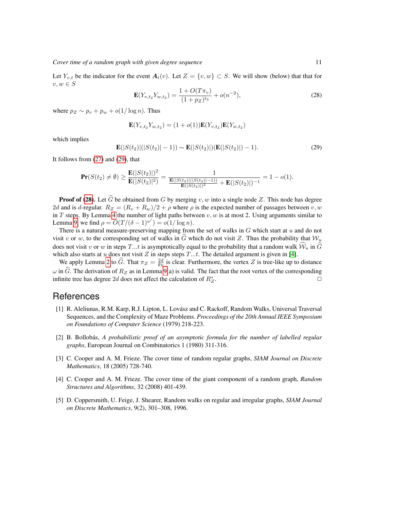<span id="page-10-5"></span>Let  $Y_{v,t}$  be the indicator for the event  $A_t(v)$ . Let  $Z = \{v, w\} \subset S$ . We will show (below) that that for  $v, w \in S$ 

$$
\mathbf{E}(Y_{v,t_2}Y_{w,t_2}) = \frac{1 + O(T\pi_v)}{(1 + pz)^{t_2}} + o(n^{-2}),
$$
\n(28)

where  $p_Z \sim p_v + p_w + o(1/\log n)$ . Thus

$$
\mathbf{E}(Y_{v,t_2}Y_{w,t_2}) = (1+o(1))\mathbf{E}(Y_{v,t_2})\mathbf{E}(Y_{w,t_2})
$$

which implies

<span id="page-10-4"></span>
$$
\mathbf{E}(|S(t_2)|(|S(t_2)|-1)) \sim \mathbf{E}(|S(t_2)|)(\mathbf{E}(|S(t_2)|)-1). \tag{29}
$$

It follows from [\(27\)](#page-9-1) and [\(29\)](#page-10-4), that

$$
\mathbf{Pr}(S(t_2) \neq \emptyset) \ge \frac{\mathbf{E}(|S(t_2)|)^2}{\mathbf{E}(|S(t_2)|^2)} = \frac{1}{\frac{\mathbf{E}(|S(t_2)|(|S(t_2)|-1))}{\mathbf{E}(|S(t_2)|)^2} + \mathbf{E}(|S(t_2)|)^{-1}} = 1 - o(1).
$$

**Proof of [\(28\)](#page-10-5).** Let  $\widehat{G}$  be obtained from G by merging v, w into a single node Z. This node has degree 2d and is d-regular.  $R_Z = (R_v + R_w)/2 + \rho$  where  $\rho$  is the expected number of passages between v, w in T steps. By Lemma [4](#page-4-1) the number of light paths between  $v, w$  is at most 2. Using arguments similar to Lemma [9,](#page-7-2) we find  $\rho = O(T/(\delta - 1)^{\omega'}) = o(1/\log n)$ .

There is a natural measure-preserving mapping from the set of walks in  $G$  which start at  $u$  and do not visit v or w, to the corresponding set of walks in G which do not visit Z. Thus the probability that  $W_u$ does not visit v or w in steps T...t is asymptotically equal to the probability that a random walk  $\hat{W}_u$  in  $\hat{G}$ which also starts at u does not visit Z in steps steps  $T...t$ . The detailed argument is given in [\[4\]](#page-10-6).

We apply Lemma [2](#page-3-4) to  $\widehat{G}$ . That  $\pi_Z = \frac{2d}{\theta n}$  is clear. Furthermore, the vertex Z is tree-like up to distance  $\omega$  in  $\widehat{G}$ . The derivation of  $R_Z$  as in Lemma [9\(](#page-7-2)a) is valid. The fact that the root vertex of the corresponding infinite tree has degree 2d does not affect the calculation of  $R^*$ . infinite tree has degree 2d does not affect the calculation of  $R_Z^*$ .  $\Box$ 

# References

- <span id="page-10-0"></span>[1] R. Aleliunas, R.M. Karp, R.J. Lipton, L. Lovász and C. Rackoff, Random Walks, Universal Traversal Sequences, and the Complexity of Maze Problems. *Proceedings of the 20th Annual IEEE Symposium on Foundations of Computer Science* (1979) 218-223.
- <span id="page-10-3"></span>[2] B. Bollobás, A probabilistic proof of an asymptotic formula for the number of labelled regular *graphs*, European Journal on Combinatorics 1 (1980) 311-316.
- <span id="page-10-2"></span>[3] C. Cooper and A. M. Frieze. The cover time of random regular graphs, *SIAM Journal on Discrete Mathematics*, 18 (2005) 728-740.
- <span id="page-10-6"></span>[4] C. Cooper and A. M. Frieze. The cover time of the giant component of a random graph, *Random Structures and Algorithms*, 32 (2008) 401-439.
- <span id="page-10-1"></span>[5] D. Coppersmith, U. Feige, J. Shearer, Random walks on regular and irregular graphs, *SIAM Journal on Discrete Mathematics*, 9(2), 301–308, 1996.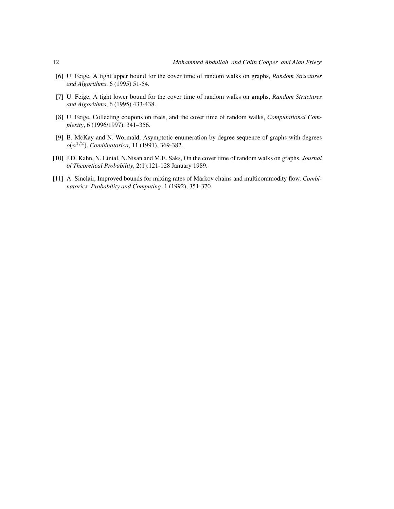- <span id="page-11-0"></span>[6] U. Feige, A tight upper bound for the cover time of random walks on graphs, *Random Structures and Algorithms*, 6 (1995) 51-54.
- <span id="page-11-1"></span>[7] U. Feige, A tight lower bound for the cover time of random walks on graphs, *Random Structures and Algorithms*, 6 (1995) 433-438.
- <span id="page-11-3"></span>[8] U. Feige, Collecting coupons on trees, and the cover time of random walks, *Computational Complexity*, 6 (1996/1997), 341–356.
- <span id="page-11-5"></span>[9] B. McKay and N. Wormald, Asymptotic enumeration by degree sequence of graphs with degrees o(n 1/2 ). *Combinatorica*, 11 (1991), 369-382.
- <span id="page-11-2"></span>[10] J.D. Kahn, N. Linial, N.Nisan and M.E. Saks, On the cover time of random walks on graphs. *Journal of Theoretical Probability*, 2(1):121-128 January 1989.
- <span id="page-11-4"></span>[11] A. Sinclair, Improved bounds for mixing rates of Markov chains and multicommodity flow. *Combinatorics, Probability and Computing*, 1 (1992), 351-370.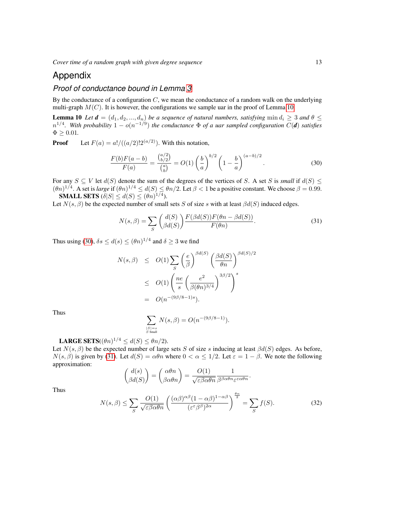# Appendix

## *Proof of conductance bound in Lemma [3](#page-3-2)*

By the conductance of a configuration  $C$ , we mean the conductance of a random walk on the underlying multi-graph  $M(C)$ . It is however, the configurations we sample uar in the proof of Lemma [10.](#page-12-0)

**Lemma 10** *Let*  $d = (d_1, d_2, ..., d_n)$  *be a sequence of natural numbers, satisfying*  $\min d_i \geq 3$  *and*  $\theta \leq 3$  $n^{1/4}$ . With probability  $1 - o(n^{-1/9})$  the conductance  $\Phi$  of a uar sampled configuration  $C(\boldsymbol{d})$  satisfies  $\Phi \geq 0.01.$ 

**Proof** Let  $F(a) = a! / ((a/2)!2^{(a/2)})$ . With this notation,

<span id="page-12-1"></span><span id="page-12-0"></span>
$$
\frac{F(b)F(a-b)}{F(a)} = \frac{\binom{a/2}{b/2}}{\binom{a}{b}} = O(1)\left(\frac{b}{a}\right)^{b/2}\left(1 - \frac{b}{a}\right)^{(a-b)/2}.\tag{30}
$$

For any  $S \subseteq V$  let  $d(S)$  denote the sum of the degrees of the vertices of S. A set S is *small* if  $d(S)$  <  $(\theta n)^{1/4}$ . A set is *large* if  $(\theta n)^{1/4} \leq d(S) \leq \theta n/2$ . Let  $\beta < 1$  be a positive constant. We choose  $\beta = 0.99$ . **SMALL SETS** ( $\delta|S| \leq d(S) \leq (\theta n)^{1/4}$ ).

Let  $N(s, \beta)$  be the expected number of small sets S of size s with at least  $\beta d(S)$  induced edges.

<span id="page-12-2"></span>
$$
N(s,\beta) = \sum_{S} \binom{d(S)}{\beta d(S)} \frac{F(\beta d(S))F(\theta n - \beta d(S))}{F(\theta n)}.
$$
\n(31)

Thus using [\(30\)](#page-12-1),  $\delta s \leq d(s) \leq (\theta n)^{1/4}$  and  $\delta \geq 3$  we find

$$
N(s,\beta) \leq O(1) \sum_{S} \left(\frac{e}{\beta}\right)^{\beta d(S)} \left(\frac{\beta d(S)}{\theta n}\right)^{\beta d(S)/2}
$$
  

$$
\leq O(1) \left(\frac{ne}{s} \left(\frac{e^2}{\beta(\theta n)^{3/4}}\right)^{3\beta/2}\right)^s
$$
  

$$
= O(n^{-(9\beta/8-1)s}).
$$

Thus

$$
\sum_{\stackrel{|S|=s}{S \;\;\text{small}}} N(s,\beta)=O(n^{-(9\beta/8-1)}).
$$

**LARGE SETS**( $(\theta n)^{1/4} \leq d(S) \leq \theta n/2$ ).

Let  $N(s, \beta)$  be the expected number of large sets S of size s inducing at least  $\beta d(S)$  edges. As before,  $N(s, \beta)$  is given by [\(31\)](#page-12-2). Let  $d(S) = \alpha \theta n$  where  $0 < \alpha \leq 1/2$ . Let  $\varepsilon = 1 - \beta$ . We note the following approximation:

$$
\binom{d(s)}{\beta d(S)} = \binom{\alpha \theta n}{\beta \alpha \theta n} = \frac{O(1)}{\sqrt{\varepsilon \beta \alpha \theta n}} \frac{1}{\beta^{\beta \alpha \theta n} \varepsilon^{\varepsilon \alpha \theta n}}.
$$

<span id="page-12-3"></span>Thus

$$
N(s,\beta) \le \sum_{S} \frac{O(1)}{\sqrt{\varepsilon \beta \alpha \theta n}} \left( \frac{(\alpha \beta)^{\alpha \beta} (1 - \alpha \beta)^{1 - \alpha \beta}}{(\varepsilon^{\varepsilon} \beta^{\beta})^{2\alpha}} \right)^{\frac{\theta n}{2}} = \sum_{S} f(S). \tag{32}
$$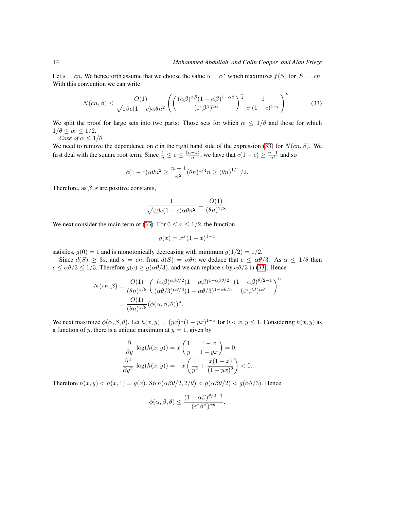Let  $s = cn$ . We henceforth assume that we choose the value  $\alpha = \alpha^*$  which maximizes  $f(S)$  for  $|S| = cn$ . With this convention we can write

<span id="page-13-0"></span>
$$
N(cn,\beta) \le \frac{O(1)}{\sqrt{\varepsilon\beta c(1-c)\alpha\theta n^2}} \left( \left( \frac{(\alpha\beta)^{\alpha\beta}(1-\alpha\beta)^{1-\alpha\beta}}{(\varepsilon^{\varepsilon}\beta^{\beta})^{2\alpha}} \right)^{\frac{\theta}{2}} \frac{1}{c^c(1-c)^{1-c}} \right)^n. \tag{33}
$$

We split the proof for large sets into two parts: Those sets for which  $\alpha \leq 1/\theta$  and those for which  $1/\theta \leq \alpha \leq 1/2$ .

*Case of*  $\alpha \leq 1/\theta$ *.* 

We need to remove the dependence on c in the right hand side of the expression [\(33\)](#page-13-0) for  $N(cn, \beta)$ . We first deal with the square root term. Since  $\frac{1}{n} \leq c \leq \frac{(n-1)}{n}$  $\frac{n-1}{n}$ , we have that  $c(1-c) \geq \frac{n-1}{n^2}$  and so

$$
c(1-c)\alpha \theta n^2 \ge \frac{n-1}{n^2} (\theta n)^{1/4} n \ge (\theta n)^{1/4}/2.
$$

Therefore, as  $\beta$ ,  $\varepsilon$  are positive constants,

$$
\frac{1}{\sqrt{\varepsilon\beta c(1-c)\alpha\theta n^2}} = \frac{O(1)}{(\theta n)^{1/8}}.
$$

We next consider the main term of [\(33\)](#page-13-0). For  $0 \le x \le 1/2$ , the function

$$
g(x) = x^x (1 - x)^{1 - x}
$$

satisfies,  $g(0) = 1$  and is monotonically decreasing with minimum  $g(1/2) = 1/2$ .

Since  $d(S) \ge 3s$ , and  $s = cn$ , from  $d(S) = \alpha \theta n$  we deduce that  $c \le \alpha \theta/3$ . As  $\alpha \le 1/\theta$  then  $c \le \alpha \theta/3 \le 1/3$ . Therefore  $g(c) \ge g(\alpha \theta/3)$ , and we can replace c by  $\alpha \theta/3$  in [\(33\)](#page-13-0). Hence

$$
N(cn,\beta) = \frac{O(1)}{(\theta n)^{1/8}} \left( \frac{(\alpha \beta)^{\alpha \beta \theta/2} (1 - \alpha \beta)^{1 - \alpha \beta \theta/2}}{(\alpha \theta/3)^{\alpha \theta/3} (1 - \alpha \theta/3)^{1 - \alpha \theta/3}} \frac{(1 - \alpha \beta)^{\theta/2 - 1}}{(\varepsilon^{\varepsilon} \beta^{\beta})^{\alpha \theta}} \right)^n
$$
  
= 
$$
\frac{O(1)}{(\theta n)^{1/8}} (\phi(\alpha, \beta, \theta))^n.
$$

We next maximize  $\phi(\alpha, \beta, \theta)$ . Let  $h(x, y) = (yx)^x (1 - yx)^{1-x}$  for  $0 < x, y \le 1$ . Considering  $h(x, y)$  as a function of y, there is a unique maximum at  $y = 1$ , given by

$$
\frac{\partial}{\partial y} \log(h(x, y)) = x \left( \frac{1}{y} - \frac{1 - x}{1 - yx} \right) = 0,
$$
  

$$
\frac{\partial^2}{\partial y^2} \log(h(x, y)) = -x \left( \frac{1}{y^2} + \frac{x(1 - x)}{(1 - yx)^2} \right) < 0.
$$

Therefore  $h(x, y) < h(x, 1) = g(x)$ . So  $h(\alpha \beta \theta/2, 2/\theta) < g(\alpha \beta \theta/2) < g(\alpha \theta/3)$ . Hence

$$
\phi(\alpha,\beta,\theta) \le \frac{(1-\alpha\beta)^{\theta/2-1}}{(\varepsilon^{\varepsilon}\beta^{\beta})^{\alpha\theta}}.
$$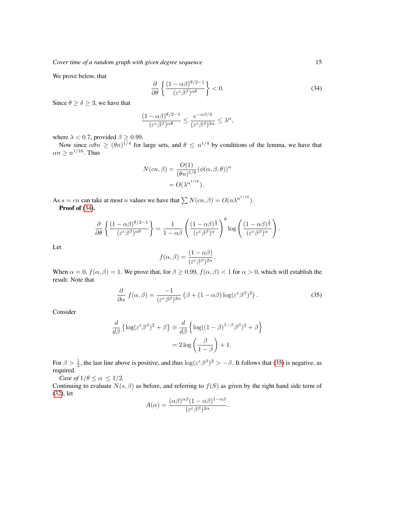We prove below, that

<span id="page-14-0"></span>
$$
\frac{\partial}{\partial \theta} \left\{ \frac{(1 - \alpha \beta)^{\theta/2 - 1}}{(\varepsilon^{\varepsilon} \beta^{\beta})^{\alpha \theta}} \right\} < 0. \tag{34}
$$

Since  $\theta \ge \delta \ge 3$ , we have that

$$
\frac{(1-\alpha\beta)^{\theta/2-1}}{(\varepsilon^{\varepsilon}\beta^{\beta})^{\alpha\theta}}\leq \frac{e^{-\alpha\beta/2}}{(\varepsilon^{\varepsilon}\beta^{\beta})^{3\alpha}}\leq \lambda^{\alpha},
$$

where  $\lambda < 0.7$ , provided  $\beta \ge 0.99$ .

Now since  $\alpha \theta n \geq (\theta n)^{1/4}$  for large sets, and  $\theta \leq n^{1/4}$  by conditions of the lemma, we have that  $\alpha n \geq n^{1/16}$ . Thus

$$
N(cn, \beta) = \frac{O(1)}{(\theta n)^{1/8}} (\phi(\alpha, \beta, \theta))^n
$$

$$
= O(\lambda^{n^{1/16}}).
$$

As  $s = cn$  can take at most n values we have that  $\sum N(cn, \beta) = O(n\lambda^{n^{1/16}})$ . Proof of  $(34)$ .

$$
\frac{\partial}{\partial \theta} \left\{ \frac{(1 - \alpha \beta)^{\theta/2 - 1}}{(\varepsilon^{\varepsilon} \beta^{\beta})^{\alpha \theta}} \right\} = \frac{1}{1 - \alpha \beta} \left( \frac{(1 - \alpha \beta)^{\frac{1}{2}}}{(\varepsilon^{\varepsilon} \beta^{\beta})^{\alpha}} \right)^{\theta} \log \left( \frac{(1 - \alpha \beta)^{\frac{1}{2}}}{(\varepsilon^{\varepsilon} \beta^{\beta})^{\alpha}} \right).
$$

Let

<span id="page-14-1"></span>
$$
f(\alpha, \beta) = \frac{(1 - \alpha \beta)}{(\varepsilon^{\varepsilon} \beta^{\beta})^{2\alpha}}.
$$

When  $\alpha = 0$ ,  $f(\alpha, \beta) = 1$ . We prove that, for  $\beta \ge 0.99$ ,  $f(\alpha, \beta) < 1$  for  $\alpha > 0$ , which will establish the result. Note that

$$
\frac{\partial}{\partial \alpha} f(\alpha, \beta) = \frac{-1}{(\varepsilon^{\varepsilon} \beta^{\beta})^{2\alpha}} \left( \beta + (1 - \alpha \beta) \log(\varepsilon^{\varepsilon} \beta^{\beta})^{2} \right). \tag{35}
$$

Consider

$$
\frac{d}{d\beta} \left\{ \log(\varepsilon^{\varepsilon} \beta^{\beta})^2 + \beta \right\} \equiv \frac{d}{d\beta} \left\{ \log((1 - \beta)^{1 - \beta} \beta^{\beta})^2 + \beta \right\}
$$

$$
= 2 \log \left( \frac{\beta}{1 - \beta} \right) + 1.
$$

For  $\beta > \frac{1}{2}$ , the last line above is positive, and thus  $\log(\varepsilon^{\varepsilon} \beta^{\beta})^2 > -\beta$ . It follows that [\(35\)](#page-14-1) is negative, as required.

*Case of*  $1/\theta \leq \alpha \leq 1/2$ *.* 

Continuing to evaluate  $N(s, \beta)$  as before, and referring to  $f(S)$  as given by the right hand side term of [\(32\)](#page-12-3), let

$$
A(\alpha) = \frac{(\alpha \beta)^{\alpha \beta} (1 - \alpha \beta)^{1 - \alpha \beta}}{(\varepsilon^{\varepsilon} \beta^{\beta})^{2\alpha}}.
$$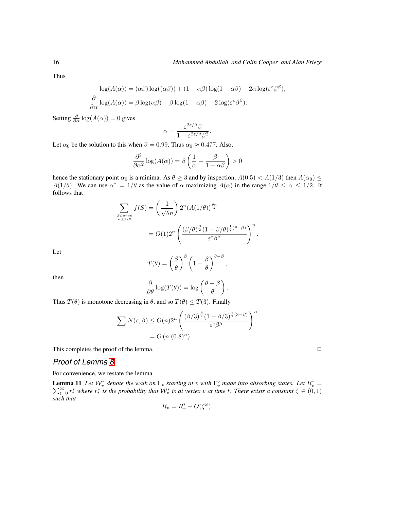Thus

$$
\log(A(\alpha)) = (\alpha \beta) \log((\alpha \beta)) + (1 - \alpha \beta) \log(1 - \alpha \beta) - 2\alpha \log(\varepsilon^{\varepsilon} \beta^{\beta}),
$$
  

$$
\frac{\partial}{\partial \alpha} \log(A(\alpha)) = \beta \log(\alpha \beta) - \beta \log(1 - \alpha \beta) - 2 \log(\varepsilon^{\varepsilon} \beta^{\beta}).
$$

Setting  $\frac{\partial}{\partial \alpha} \log(A(\alpha)) = 0$  gives

$$
\alpha = \frac{\varepsilon^{2\varepsilon/\beta}\beta}{1 + \varepsilon^{2\varepsilon/\beta}\beta^2}.
$$

Let  $\alpha_0$  be the solution to this when  $\beta = 0.99$ . Thus  $\alpha_0 \approx 0.477$ . Also,

$$
\frac{\partial^2}{\partial \alpha^2} \log(A(\alpha)) = \beta \left( \frac{1}{\alpha} + \frac{\beta}{1 - \alpha \beta} \right) > 0
$$

hence the stationary point  $\alpha_0$  is a minima. As  $\theta \ge 3$  and by inspection,  $A(0.5) < A(1/3)$  then  $A(\alpha_0) \le$  $A(1/\theta)$ . We can use  $\alpha^* = 1/\theta$  as the value of  $\alpha$  maximizing  $A(\alpha)$  in the range  $1/\theta \leq \alpha \leq 1/2$ . It follows that

$$
\sum_{\substack{S_{Large} \\ \alpha \ge 1/\theta}} f(S) = \left(\frac{1}{\sqrt{\theta n}}\right) 2^n (A(1/\theta))^{\frac{\theta n}{2}}
$$

$$
= O(1) 2^n \left(\frac{(\beta/\theta)^{\frac{\beta}{2}} (1 - \beta/\theta)^{\frac{1}{2}(\theta - \beta)}}{\varepsilon^{\varepsilon} \beta^{\beta}}\right)^n.
$$

Let

$$
T(\theta) = \left(\frac{\beta}{\theta}\right)^{\beta} \left(1 - \frac{\beta}{\theta}\right)^{\theta - \beta},
$$

then

$$
\frac{\partial}{\partial \theta} \log(T(\theta)) = \log \left( \frac{\theta - \beta}{\theta} \right).
$$

Thus  $T(\theta)$  is monotone decreasing in  $\theta$ , and so  $T(\theta) \leq T(3)$ . Finally

$$
\sum N(s,\beta) \le O(n)2^n \left( \frac{(\beta/3)^{\frac{\beta}{2}} (1 - \beta/3)^{\frac{1}{2}(3-\beta)}}{\varepsilon^{\varepsilon} \beta^{\beta}} \right)^n
$$
  
=  $O(n (0.8)^n).$ 

This completes the proof of the lemma.  $\Box$ 

### *Proof of Lemma [8](#page-7-1)*

For convenience, we restate the lemma.

**Lemma 11** Let  $W_v^*$  denote the walk on  $\Gamma_v$  starting at  $v$  with  $\Gamma_v^{\circ}$  made into absorbing states. Let  $R_v^* = \sum_{t=0}^{\infty} r_t^*$  where  $r_t^*$  is the probability that  $W_v^*$  is at vertex  $v$  at time  $t$ . There exists *such that*

$$
R_v = R_v^* + O(\zeta^\omega).
$$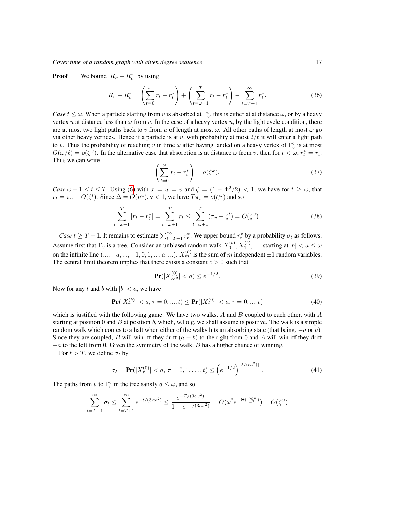**Proof** We bound  $|R_v - R_v^*|$  by using

$$
R_v - R_v^* = \left(\sum_{t=0}^{\omega} r_t - r_t^*\right) + \left(\sum_{t=\omega+1}^T r_t - r_t^*\right) - \sum_{t=T+1}^{\infty} r_t^*.
$$
 (36)

*Case*  $t \leq \omega$ . When a particle starting from v is absorbed at  $\Gamma_v^{\circ}$ , this is either at at distance  $\omega$ , or by a heavy vertex u at distance less than  $\omega$  from v. In the case of a heavy vertex u, by the light cycle condition, there are at most two light paths back to v from u of length at most  $\omega$ . All other paths of length at most  $\omega$  go via other heavy vertices. Hence if a particle is at u, with probability at most  $2/\ell$  it will enter a light path to v. Thus the probability of reaching v in time  $\omega$  after having landed on a heavy vertex of  $\Gamma_v^{\circ}$  is at most  $O(\omega/\ell) = o(\zeta^{\omega})$ . In the alternative case that absorption is at distance  $\omega$  from v, then for  $t < \omega$ ,  $r_t^* = r_t$ . Thus we can write

<span id="page-16-3"></span>
$$
\left(\sum_{t=0}^{\omega} r_t - r_t^*\right) = o(\zeta^{\omega}).\tag{37}
$$

*Case*  $\omega + 1 \le t \le T$ . Using [\(6\)](#page-3-3) with  $x = u = v$  and  $\zeta = (1 - \Phi^2/2) < 1$ , we have for  $t \ge \omega$ , that  $r_t = \pi_v + O(\zeta^t)$ . Since  $\Delta = O(n^a)$ ,  $a < 1$ , we have  $T\pi_v = o(\zeta^{\omega})$  and so

<span id="page-16-2"></span>
$$
\sum_{t=\omega+1}^{T} |r_t - r_t^*| = \sum_{t=\omega+1}^{T} r_t \le \sum_{t=\omega+1}^{T} (\pi_v + \zeta^t) = O(\zeta^{\omega}).
$$
\n(38)

*Case*  $t \geq T + 1$ . It remains to estimate  $\sum_{t=T+1}^{\infty} r_t^*$ . We upper bound  $r_t^*$  by a probability  $\sigma_t$  as follows. Assume first that  $\Gamma_v$  is a tree. Consider an unbiased random walk  $X_0^{(b)}, X_1^{(b)}, \ldots$  starting at  $|b| < a \le \omega$ on the infinite line  $(..., -a, ..., -1, 0, 1, ..., a, ...)$ .  $X_m^{(b)}$  is the sum of m independent  $\pm 1$  random variables. The central limit theorem implies that there exists a constant  $c > 0$  such that

<span id="page-16-1"></span><span id="page-16-0"></span>
$$
\Pr(|X_{ca}^{(0)}| < a) \le e^{-1/2}.\tag{39}
$$

Now for any t and b with  $|b| < a$ , we have

$$
\mathbf{Pr}(|X_{\tau}^{(b)}| < a, \tau = 0, \dots, t) \leq \mathbf{Pr}(|X_{\tau}^{(0)}| < a, \tau = 0, \dots, t) \tag{40}
$$

which is justified with the following game: We have two walks,  $A$  and  $B$  coupled to each other, with  $A$ starting at position 0 and B at position b, which, w.l.o.g, we shall assume is positive. The walk is a simple random walk which comes to a halt when either of the walks hits an absorbing state (that being,  $-a$  or a). Since they are coupled, B will win iff they drift  $(a - b)$  to the right from 0 and A will win iff they drift  $-a$  to the left from 0. Given the symmetry of the walk, B has a higher chance of winning.

For  $t > T$ , we define  $\sigma_t$  by

<span id="page-16-4"></span>
$$
\sigma_t = \Pr(|X_\tau^{(0)}| < a, \tau = 0, 1, \dots, t) \le \left(e^{-1/2}\right)^{\lfloor t/(ca^2) \rfloor}.\tag{41}
$$

The paths from v to  $\Gamma_v^{\circ}$  in the tree satisfy  $a \leq \omega$ , and so

$$
\sum_{t=T+1}^{\infty} \sigma_t \le \sum_{t=T+1}^{\infty} e^{-t/(3c\omega^2)} \le \frac{e^{-T/(3c\omega^2)}}{1 - e^{-1/(3c\omega^2)}} = O(\omega^2 e^{-\Theta(\frac{\log n}{\omega^2})}) = O(\zeta^{\omega})
$$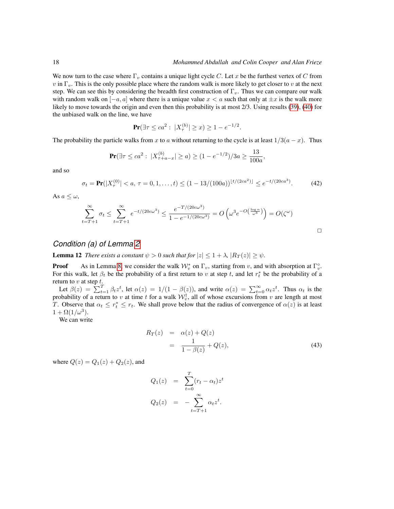We now turn to the case where  $\Gamma_v$  contains a unique light cycle C. Let x be the furthest vertex of C from v in  $\Gamma_v$ . This is the only possible place where the random walk is more likely to get closer to v at the next step. We can see this by considering the breadth first construction of  $\Gamma_v$ . Thus we can compare our walk with random walk on  $[-a, a]$  where there is a unique value  $x < a$  such that only at  $\pm x$  is the walk more likely to move towards the origin and even then this probability is at most 2/3. Using results [\(39\)](#page-16-0), [\(40\)](#page-16-1) for the unbiased walk on the line, we have

$$
\Pr(\exists \tau \le ca^2 : |X_{\tau}^{(b)}| \ge x) \ge 1 - e^{-1/2}.
$$

The probability the particle walks from x to a without returning to the cycle is at least  $1/3(a - x)$ . Thus

$$
\Pr(\exists \tau \le ca^2 : |X_{\tau+a-x}^{(b)}| \ge a) \ge (1 - e^{-1/2})/3a \ge \frac{13}{100a},
$$

and so

<span id="page-17-1"></span>
$$
\sigma_t = \mathbf{Pr}(|X_\tau^{(0)}| < a, \tau = 0, 1, \dots, t) \le (1 - 13/(100a))^{t/(2ca^2)} \le e^{-t/(20ca^3)}.\tag{42}
$$

As  $a \leq \omega$ ,

$$
\sum_{t=T+1}^{\infty} \sigma_t \le \sum_{t=T+1}^{\infty} e^{-t/(20c\omega^3)} \le \frac{e^{-T/(20c\omega^3)}}{1 - e^{-1/(20c\omega^3)}} = O\left(\omega^3 e^{-O\left(\frac{\log n}{\omega^3}\right)}\right) = O(\zeta^{\omega})
$$

### *Condition (a) of Lemma [2](#page-3-4)*

**Lemma 12** *There exists a constant*  $\psi > 0$  *such that for*  $|z| \leq 1 + \lambda$ ,  $|R_T(z)| \geq \psi$ *.* 

**Proof** As in Lemma [8,](#page-7-1) we consider the walk  $W_v^*$  on  $\Gamma_v$ , starting from v, and with absorption at  $\Gamma_v^{\circ}$ . For this walk, let  $\beta_t$  be the probability of a first return to v at step t, and let  $r_t^*$  be the probability of a return to  $v$  at step  $t$ .

Let  $\beta(z) = \sum_{t=1}^{T} \beta_t z^t$ , let  $\alpha(z) = 1/(1 - \beta(z))$ , and write  $\alpha(z) = \sum_{t=0}^{\infty} \alpha_t z^t$ . Thus  $\alpha_t$  is the probability of a return to v at time t for a walk  $\mathcal{W}_v^{\dagger}$ , all of whose excursions from v are length at most T. Observe that  $\alpha_t \leq r_t^* \leq r_t$ . We shall prove below that the radius of convergence of  $\alpha(z)$  is at least  $1 + \Omega(1/\omega^3)$ .

We can write

<span id="page-17-0"></span>
$$
R_T(z) = \alpha(z) + Q(z)
$$
  
= 
$$
\frac{1}{1 - \beta(z)} + Q(z),
$$
 (43)

where  $Q(z) = Q_1(z) + Q_2(z)$ , and

$$
Q_1(z) = \sum_{t=0}^T (r_t - \alpha_t) z^t
$$
  

$$
Q_2(z) = -\sum_{t=T+1}^\infty \alpha_t z^t.
$$